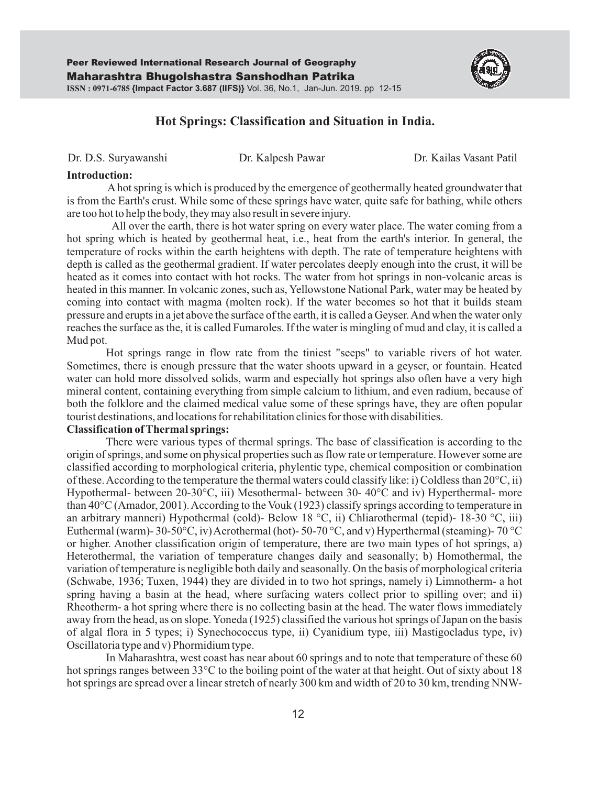

# **Hot Springs: Classification and Situation in India.**

Dr. D.S. Suryawanshi Dr. Kalpesh Pawar Dr. Kailas Vasant Patil

#### **Introduction:**

Ahot spring is which is produced by the emergence of geothermally heated groundwater that is from the Earth's crust. While some of these springs have water, quite safe for bathing, while others are too hot to help the body, they may also result in severe injury.

All over the earth, there is hot water spring on every water place. The water coming from a hot spring which is heated by geothermal heat, i.e., heat from the earth's interior. In general, the temperature of rocks within the earth heightens with depth. The rate of temperature heightens with depth is called as the geothermal gradient. If water percolates deeply enough into the crust, it will be heated as it comes into contact with hot rocks. The water from hot springs in non-volcanic areas is heated in this manner. In volcanic zones, such as, Yellowstone National Park, water may be heated by coming into contact with magma (molten rock). If the water becomes so hot that it builds steam pressure and erupts in a jet above the surface of the earth, it is called a Geyser. And when the water only reaches the surface as the, it is called Fumaroles. If the water is mingling of mud and clay, it is called a Mud pot.

Hot springs range in flow rate from the tiniest "seeps" to variable rivers of hot water. Sometimes, there is enough pressure that the water shoots upward in a geyser, or fountain. Heated water can hold more dissolved solids, warm and especially hot springs also often have a very high mineral content, containing everything from simple calcium to lithium, and even radium, because of both the folklore and the claimed medical value some of these springs have, they are often popular tourist destinations, and locations for rehabilitation clinics for those with disabilities.

## **Classification of Thermal springs:**

There were various types of thermal springs. The base of classification is according to the origin of springs, and some on physical properties such as flow rate or temperature. However some are classified according to morphological criteria, phylentic type, chemical composition or combination of these. According to the temperature the thermal waters could classify like: i) Coldless than  $20^{\circ}$ C, ii) Hypothermal- between 20-30°C, iii) Mesothermal- between 30- 40°C and iv) Hyperthermal- more than 40°C (Amador, 2001). According to the Vouk (1923) classify springs according to temperature in an arbitrary manneri) Hypothermal (cold)- Below 18 °C, ii) Chliarothermal (tepid)- 18-30 °C, iii) Euthermal (warm)- 30-50 $\rm{^{\circ}C}$ , iv) Acrothermal (hot)- 50-70  $\rm{^{\circ}C}$ , and v) Hyperthermal (steaming)- 70  $\rm{^{\circ}C}$ or higher. Another classification origin of temperature, there are two main types of hot springs, a) Heterothermal, the variation of temperature changes daily and seasonally; b) Homothermal, the variation of temperature is negligible both daily and seasonally. On the basis of morphological criteria (Schwabe, 1936; Tuxen, 1944) they are divided in to two hot springs, namely i) Limnotherm- a hot spring having a basin at the head, where surfacing waters collect prior to spilling over; and ii) Rheotherm- a hot spring where there is no collecting basin at the head. The water flows immediately away from the head, as on slope. Yoneda (1925) classified the various hot springs of Japan on the basis of algal flora in 5 types; i) Synechococcus type, ii) Cyanidium type, iii) Mastigocladus type, iv) Oscillatoria type and v) Phormidium type.

In Maharashtra, west coast has near about 60 springs and to note that temperature of these 60 hot springs ranges between 33°C to the boiling point of the water at that height. Out of sixty about 18 hot springs are spread over a linear stretch of nearly 300 km and width of 20 to 30 km, trending NNW-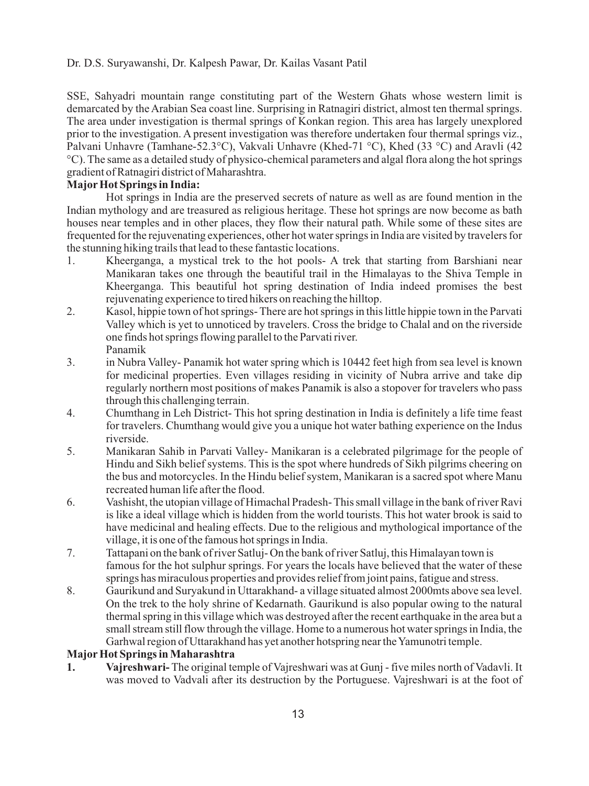## Dr. D.S. Suryawanshi, Dr. Kalpesh Pawar, Dr. Kailas Vasant Patil

SSE, Sahyadri mountain range constituting part of the Western Ghats whose western limit is demarcated by the Arabian Sea coast line. Surprising in Ratnagiri district, almost ten thermal springs. The area under investigation is thermal springs of Konkan region. This area has largely unexplored prior to the investigation. A present investigation was therefore undertaken four thermal springs viz., Palvani Unhavre (Tamhane-52.3°C), Vakvali Unhavre (Khed-71 °C), Khed (33 °C) and Aravli (42 °C). The same as a detailed study of physico-chemical parameters and algal flora along the hot springs gradient of Ratnagiri district of Maharashtra.

## **MajorHot Springs in India:**

Hot springs in India are the preserved secrets of nature as well as are found mention in the Indian mythology and are treasured as religious heritage. These hot springs are now become as bath houses near temples and in other places, they flow their natural path. While some of these sites are frequented for the rejuvenating experiences, other hot water springs in India are visited by travelers for the stunning hiking trails that lead to these fantastic locations.

- 1. Kheerganga, a mystical trek to the hot pools- A trek that starting from Barshiani near Manikaran takes one through the beautiful trail in the Himalayas to the Shiva Temple in Kheerganga. This beautiful hot spring destination of India indeed promises the best rejuvenating experience to tired hikers on reaching the hilltop.
- 2. Kasol, hippie town of hot springs- There are hot springs in this little hippie town in the Parvati Valley which is yet to unnoticed by travelers. Cross the bridge to Chalal and on the riverside one finds hot springs flowing parallel to the Parvati river. Panamik
- 3. in Nubra Valley- Panamik hot water spring which is 10442 feet high from sea level is known for medicinal properties. Even villages residing in vicinity of Nubra arrive and take dip regularly northern most positions of makes Panamik is also a stopover for travelers who pass through this challenging terrain.
- 4. Chumthang in Leh District- This hot spring destination in India is definitely a life time feast for travelers. Chumthang would give you a unique hot water bathing experience on the Indus riverside.
- 5. Manikaran Sahib in Parvati Valley- Manikaran is a celebrated pilgrimage for the people of Hindu and Sikh belief systems. This is the spot where hundreds of Sikh pilgrims cheering on the bus and motorcycles. In the Hindu belief system, Manikaran is a sacred spot where Manu recreated human life after the flood.
- 6. Vashisht, the utopian village of Himachal Pradesh- This small village in the bank of river Ravi is like a ideal village which is hidden from the world tourists. This hot water brook is said to have medicinal and healing effects. Due to the religious and mythological importance of the village, it is one of the famous hot springs in India.
- 7. Tattapani on the bank of river Satluj- On the bank of river Satluj, this Himalayan town is famous for the hot sulphur springs. For years the locals have believed that the water of these springs has miraculous properties and provides relief from joint pains, fatigue and stress.
- 8. Gaurikund and Suryakund in Uttarakhand- a village situated almost 2000mts above sea level. On the trek to the holy shrine of Kedarnath. Gaurikund is also popular owing to the natural thermal spring in this village which was destroyed after the recent earthquake in the area but a small stream still flow through the village. Home to a numerous hot water springs in India, the Garhwal region of Uttarakhand has yet another hotspring near the Yamunotri temple.

## **MajorHot Springs in Maharashtra**

**1. Vajreshwari-** The original temple of Vajreshwari was at Gunj - five miles north of Vadavli. It was moved to Vadvali after its destruction by the Portuguese. Vajreshwari is at the foot of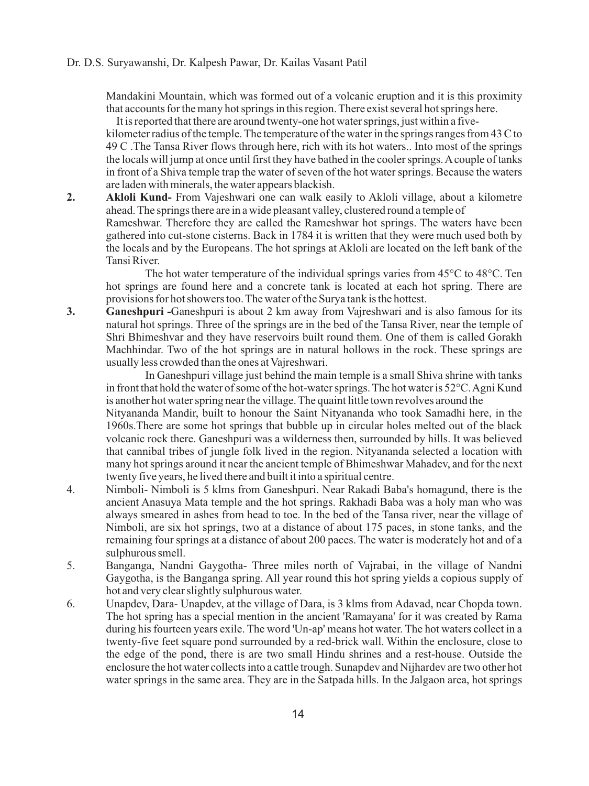### Dr. D.S. Suryawanshi, Dr. Kalpesh Pawar, Dr. Kailas Vasant Patil

Mandakini Mountain, which was formed out of a volcanic eruption and it is this proximity that accounts for the many hot springs in this region. There exist several hot springs here.

 It is reported that there are around twenty-one hot water springs, just within a fivekilometer radius of the temple. The temperature of the water in the springs ranges from 43 C to 49 C .The Tansa River flows through here, rich with its hot waters.. Into most of the springs the locals will jump at once until first they have bathed in the cooler springs. Acouple of tanks in front of a Shiva temple trap the water of seven of the hot water springs. Because the waters are laden with minerals, the water appears blackish.

**2. Akloli Kund-** From Vajeshwari one can walk easily to Akloli village, about a kilometre ahead. The springs there are in a wide pleasant valley, clustered round a temple of Rameshwar. Therefore they are called the Rameshwar hot springs. The waters have been gathered into cut-stone cisterns. Back in 1784 it is written that they were much used both by the locals and by the Europeans. The hot springs at Akloli are located on the left bank of the Tansi River.

The hot water temperature of the individual springs varies from 45°C to 48°C. Ten hot springs are found here and a concrete tank is located at each hot spring. There are provisions for hot showers too. The water of the Surya tank is the hottest.

**3. Ganeshpuri -**Ganeshpuri is about 2 km away from Vajreshwari and is also famous for its natural hot springs. Three of the springs are in the bed of the Tansa River, near the temple of Shri Bhimeshvar and they have reservoirs built round them. One of them is called Gorakh Machhindar. Two of the hot springs are in natural hollows in the rock. These springs are usually less crowded than the ones at Vajreshwari.

 In Ganeshpuri village just behind the main temple is a small Shiva shrine with tanks in front that hold the water of some of the hot-water springs. The hot water is  $52^{\circ}$ C. Agni Kund is another hot water spring near the village. The quaint little town revolves around the

Nityananda Mandir, built to honour the Saint Nityananda who took Samadhi here, in the 1960s.There are some hot springs that bubble up in circular holes melted out of the black volcanic rock there. Ganeshpuri was a wilderness then, surrounded by hills. It was believed that cannibal tribes of jungle folk lived in the region. Nityananda selected a location with many hot springs around it near the ancient temple of Bhimeshwar Mahadev, and for the next twenty five years, he lived there and built it into a spiritual centre.

- 4. Nimboli- Nimboli is 5 klms from Ganeshpuri. Near Rakadi Baba's homagund, there is the ancient Anasuya Mata temple and the hot springs. Rakhadi Baba was a holy man who was always smeared in ashes from head to toe. In the bed of the Tansa river, near the village of Nimboli, are six hot springs, two at a distance of about 175 paces, in stone tanks, and the remaining four springs at a distance of about 200 paces. The water is moderately hot and of a sulphurous smell.
- 5. Banganga, Nandni Gaygotha- Three miles north of Vajrabai, in the village of Nandni Gaygotha, is the Banganga spring. All year round this hot spring yields a copious supply of hot and very clear slightly sulphurous water.
- 6. Unapdev, Dara- Unapdev, at the village of Dara, is 3 klms from Adavad, near Chopda town. The hot spring has a special mention in the ancient 'Ramayana' for it was created by Rama during his fourteen years exile. The word 'Un-ap' means hot water. The hot waters collect in a twenty-five feet square pond surrounded by a red-brick wall. Within the enclosure, close to the edge of the pond, there is are two small Hindu shrines and a rest-house. Outside the enclosure the hot water collects into a cattle trough. Sunapdev and Nijhardev are two other hot water springs in the same area. They are in the Satpada hills. In the Jalgaon area, hot springs